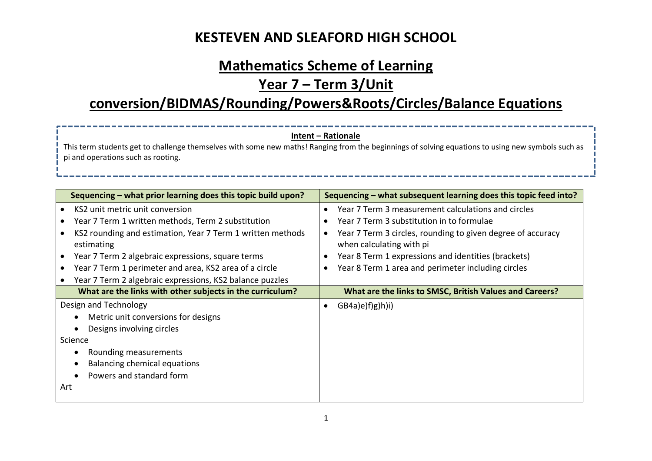#### **Mathematics Scheme of Learning**

#### **Year 7 – Term 3/Unit**

#### **conversion/BIDMAS/Rounding/Powers&Roots/Circles/Balance Equations**

#### **Intent – Rationale**

This term students get to challenge themselves with some new maths! Ranging from the beginnings of solving equations to using new symbols such as pi and operations such as rooting.

| Sequencing - what subsequent learning does this topic feed into? |
|------------------------------------------------------------------|
| Year 7 Term 3 measurement calculations and circles               |
| Year 7 Term 3 substitution in to formulae                        |
| Year 7 Term 3 circles, rounding to given degree of accuracy      |
| when calculating with pi                                         |
| Year 8 Term 1 expressions and identities (brackets)              |
| Year 8 Term 1 area and perimeter including circles               |
|                                                                  |
| What are the links to SMSC, British Values and Careers?          |
| GB4a)e(f)g(h)i                                                   |
|                                                                  |
|                                                                  |
|                                                                  |
|                                                                  |
|                                                                  |
|                                                                  |
|                                                                  |
|                                                                  |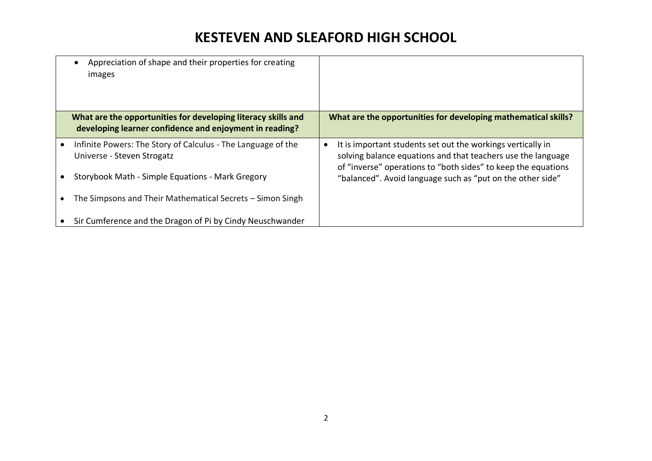| Appreciation of shape and their properties for creating<br>images                                                        |                                                                                                                                                                                              |
|--------------------------------------------------------------------------------------------------------------------------|----------------------------------------------------------------------------------------------------------------------------------------------------------------------------------------------|
| What are the opportunities for developing literacy skills and<br>developing learner confidence and enjoyment in reading? | What are the opportunities for developing mathematical skills?                                                                                                                               |
| Infinite Powers: The Story of Calculus - The Language of the<br>Universe - Steven Strogatz                               | It is important students set out the workings vertically in<br>solving balance equations and that teachers use the language<br>of "inverse" operations to "both sides" to keep the equations |
| Storybook Math - Simple Equations - Mark Gregory                                                                         | "balanced". Avoid language such as "put on the other side"                                                                                                                                   |
| The Simpsons and Their Mathematical Secrets – Simon Singh                                                                |                                                                                                                                                                                              |
| Sir Cumference and the Dragon of Pi by Cindy Neuschwander                                                                |                                                                                                                                                                                              |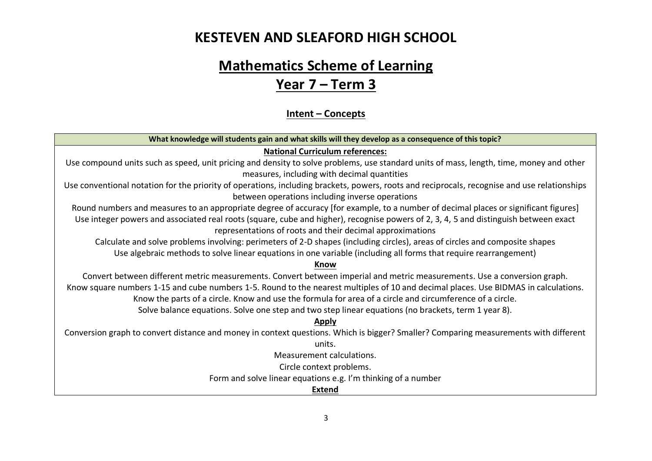# **Mathematics Scheme of Learning Year 7 – Term 3**

#### **Intent – Concepts**

| What knowledge will students gain and what skills will they develop as a consequence of this topic?                                          |  |  |
|----------------------------------------------------------------------------------------------------------------------------------------------|--|--|
| <b>National Curriculum references:</b>                                                                                                       |  |  |
| Use compound units such as speed, unit pricing and density to solve problems, use standard units of mass, length, time, money and other      |  |  |
| measures, including with decimal quantities                                                                                                  |  |  |
| Use conventional notation for the priority of operations, including brackets, powers, roots and reciprocals, recognise and use relationships |  |  |
| between operations including inverse operations                                                                                              |  |  |
| Round numbers and measures to an appropriate degree of accuracy [for example, to a number of decimal places or significant figures]          |  |  |
| Use integer powers and associated real roots (square, cube and higher), recognise powers of 2, 3, 4, 5 and distinguish between exact         |  |  |
| representations of roots and their decimal approximations                                                                                    |  |  |
| Calculate and solve problems involving: perimeters of 2-D shapes (including circles), areas of circles and composite shapes                  |  |  |
| Use algebraic methods to solve linear equations in one variable (including all forms that require rearrangement)                             |  |  |
| Know                                                                                                                                         |  |  |
| Convert between different metric measurements. Convert between imperial and metric measurements. Use a conversion graph.                     |  |  |
| Know square numbers 1-15 and cube numbers 1-5. Round to the nearest multiples of 10 and decimal places. Use BIDMAS in calculations.          |  |  |
| Know the parts of a circle. Know and use the formula for area of a circle and circumference of a circle.                                     |  |  |
| Solve balance equations. Solve one step and two step linear equations (no brackets, term 1 year 8).                                          |  |  |
| <b>Apply</b>                                                                                                                                 |  |  |
| Conversion graph to convert distance and money in context questions. Which is bigger? Smaller? Comparing measurements with different         |  |  |
| units.                                                                                                                                       |  |  |
| Measurement calculations.                                                                                                                    |  |  |
| Circle context problems.                                                                                                                     |  |  |
| Form and solve linear equations e.g. I'm thinking of a number                                                                                |  |  |
| <b>Extend</b>                                                                                                                                |  |  |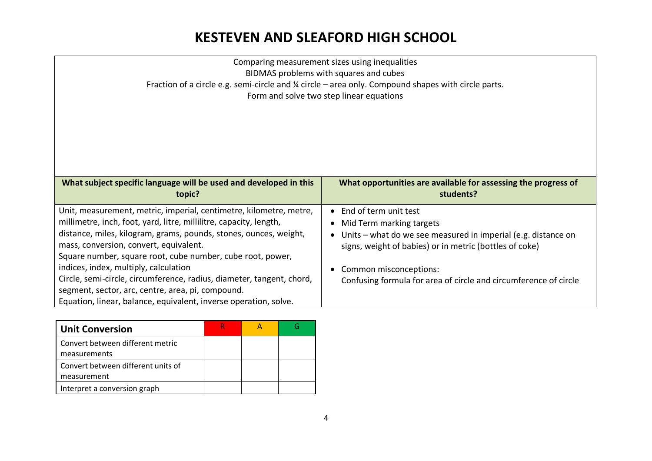| Comparing measurement sizes using inequalities<br>BIDMAS problems with squares and cubes<br>Fraction of a circle e.g. semi-circle and $\frac{1}{4}$ circle – area only. Compound shapes with circle parts.<br>Form and solve two step linear equations                                                                                                                                                                                                                                                                                                           |                                                                                                                                                                                                                                                                               |  |  |  |
|------------------------------------------------------------------------------------------------------------------------------------------------------------------------------------------------------------------------------------------------------------------------------------------------------------------------------------------------------------------------------------------------------------------------------------------------------------------------------------------------------------------------------------------------------------------|-------------------------------------------------------------------------------------------------------------------------------------------------------------------------------------------------------------------------------------------------------------------------------|--|--|--|
| What subject specific language will be used and developed in this<br>topic?                                                                                                                                                                                                                                                                                                                                                                                                                                                                                      | What opportunities are available for assessing the progress of<br>students?                                                                                                                                                                                                   |  |  |  |
| Unit, measurement, metric, imperial, centimetre, kilometre, metre,<br>millimetre, inch, foot, yard, litre, millilitre, capacity, length,<br>distance, miles, kilogram, grams, pounds, stones, ounces, weight,<br>mass, conversion, convert, equivalent.<br>Square number, square root, cube number, cube root, power,<br>indices, index, multiply, calculation<br>Circle, semi-circle, circumference, radius, diameter, tangent, chord,<br>segment, sector, arc, centre, area, pi, compound.<br>Equation, linear, balance, equivalent, inverse operation, solve. | • End of term unit test<br>Mid Term marking targets<br>Units – what do we see measured in imperial (e.g. distance on<br>signs, weight of babies) or in metric (bottles of coke)<br>Common misconceptions:<br>Confusing formula for area of circle and circumference of circle |  |  |  |

| <b>Unit Conversion</b>             |  |  |
|------------------------------------|--|--|
| Convert between different metric   |  |  |
| measurements                       |  |  |
| Convert between different units of |  |  |
| measurement                        |  |  |
| Interpret a conversion graph       |  |  |